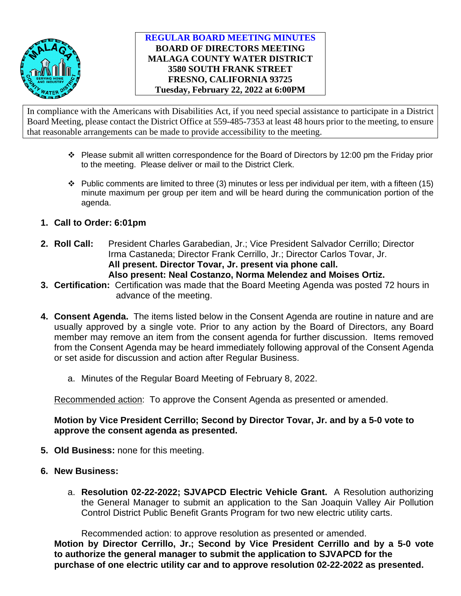

## **REGULAR BOARD MEETING MINUTES BOARD OF DIRECTORS MEETING MALAGA COUNTY WATER DISTRICT 3580 SOUTH FRANK STREET FRESNO, CALIFORNIA 93725 Tuesday, February 22, 2022 at 6:00PM**

In compliance with the Americans with Disabilities Act, if you need special assistance to participate in a District Board Meeting, please contact the District Office at 559-485-7353 at least 48 hours prior to the meeting, to ensure that reasonable arrangements can be made to provide accessibility to the meeting.

- $\cdot \cdot$  Please submit all written correspondence for the Board of Directors by 12:00 pm the Friday prior to the meeting. Please deliver or mail to the District Clerk.
- $\cdot \cdot$  Public comments are limited to three (3) minutes or less per individual per item, with a fifteen (15) minute maximum per group per item and will be heard during the communication portion of the agenda.
- **1. Call to Order: 6:01pm**
- **2. Roll Call:** President Charles Garabedian, Jr.; Vice President Salvador Cerrillo; Director Irma Castaneda; Director Frank Cerrillo, Jr.; Director Carlos Tovar, Jr. **All present. Director Tovar, Jr. present via phone call. Also present: Neal Costanzo, Norma Melendez and Moises Ortiz.**
- **3. Certification:** Certification was made that the Board Meeting Agenda was posted 72 hours in advance of the meeting.
- **4. Consent Agenda.** The items listed below in the Consent Agenda are routine in nature and are usually approved by a single vote. Prior to any action by the Board of Directors, any Board member may remove an item from the consent agenda for further discussion. Items removed from the Consent Agenda may be heard immediately following approval of the Consent Agenda or set aside for discussion and action after Regular Business.
	- a. Minutes of the Regular Board Meeting of February 8, 2022.

Recommended action: To approve the Consent Agenda as presented or amended.

**Motion by Vice President Cerrillo; Second by Director Tovar, Jr. and by a 5-0 vote to approve the consent agenda as presented.** 

- **5. Old Business:** none for this meeting.
- **6. New Business:**
	- a. **Resolution 02-22-2022; SJVAPCD Electric Vehicle Grant.** A Resolution authorizing the General Manager to submit an application to the San Joaquin Valley Air Pollution Control District Public Benefit Grants Program for two new electric utility carts.

Recommended action: to approve resolution as presented or amended. **Motion by Director Cerrillo, Jr.; Second by Vice President Cerrillo and by a 5-0 vote to authorize the general manager to submit the application to SJVAPCD for the purchase of one electric utility car and to approve resolution 02-22-2022 as presented.**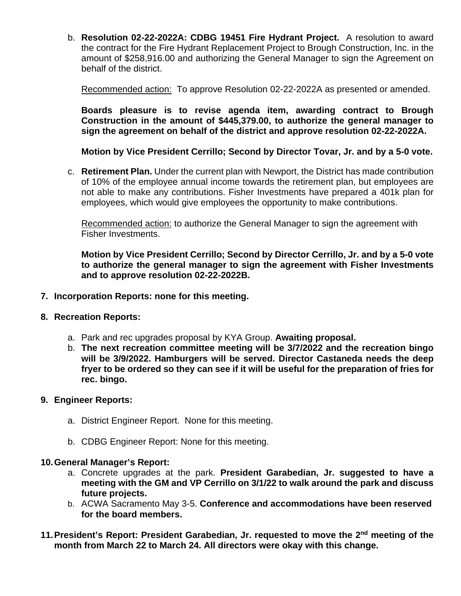b. **Resolution 02-22-2022A: CDBG 19451 Fire Hydrant Project.** A resolution to award the contract for the Fire Hydrant Replacement Project to Brough Construction, Inc. in the amount of \$258,916.00 and authorizing the General Manager to sign the Agreement on behalf of the district.

Recommended action: To approve Resolution 02-22-2022A as presented or amended.

**Boards pleasure is to revise agenda item, awarding contract to Brough Construction in the amount of \$445,379.00, to authorize the general manager to sign the agreement on behalf of the district and approve resolution 02-22-2022A.**

**Motion by Vice President Cerrillo; Second by Director Tovar, Jr. and by a 5-0 vote.**

c. **Retirement Plan.** Under the current plan with Newport, the District has made contribution of 10% of the employee annual income towards the retirement plan, but employees are not able to make any contributions. Fisher Investments have prepared a 401k plan for employees, which would give employees the opportunity to make contributions.

Recommended action: to authorize the General Manager to sign the agreement with Fisher Investments.

**Motion by Vice President Cerrillo; Second by Director Cerrillo, Jr. and by a 5-0 vote to authorize the general manager to sign the agreement with Fisher Investments and to approve resolution 02-22-2022B.**

#### **7. Incorporation Reports: none for this meeting.**

- **8. Recreation Reports:**
	- a. Park and rec upgrades proposal by KYA Group. **Awaiting proposal.**
	- b. **The next recreation committee meeting will be 3/7/2022 and the recreation bingo will be 3/9/2022. Hamburgers will be served. Director Castaneda needs the deep fryer to be ordered so they can see if it will be useful for the preparation of fries for rec. bingo.**
- **9. Engineer Reports:**
	- a. District Engineer Report. None for this meeting.
	- b. CDBG Engineer Report: None for this meeting.

#### **10.General Manager's Report:**

- a. Concrete upgrades at the park. **President Garabedian, Jr. suggested to have a meeting with the GM and VP Cerrillo on 3/1/22 to walk around the park and discuss future projects.**
- b. ACWA Sacramento May 3-5. **Conference and accommodations have been reserved for the board members.**
- **11.President's Report: President Garabedian, Jr. requested to move the 2nd meeting of the month from March 22 to March 24. All directors were okay with this change.**